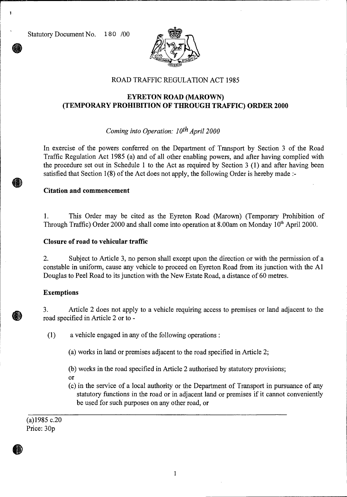Statutory Document No. 1 80 /00

ţ.



## ROAD TRAFFIC REGULATION ACT 1985

# **EYRETON ROAD (MAROWN) (TEMPORARY PROHIBITION OF THROUGH TRAFFIC) ORDER 2000**

# *Coming into Operation: 10th April 2000*

In exercise of the powers conferred on the Department of Transport by Section 3 of the Road Traffic Regulation Act 1985 (a) and of all other enabling powers, and after having complied with the procedure set out in Schedule 1 to the Act as required by Section 3 (1) and after having been satisfied that Section 1(8) of the Act does not apply, the following Order is hereby made :-

#### **Citation and commencement**

1. This Order may be cited as the Eyreton Road (Marown) (Temporary Prohibition of Through Traffic) Order 2000 and shall come into operation at 8.00am on Monday 10<sup>th</sup> April 2000.

#### **Closure of road to vehicular traffic**

2. Subject to Article 3, no person shall except upon the direction or with the permission of a constable in uniform, cause any vehicle to proceed on Eyreton Road from its junction with the Al Douglas to Peel Road to its junction with the New Estate Road, a distance of 60 metres.

#### **Exemptions**

3. Article 2 does not apply to a vehicle requiring access to premises or land adjacent to the road specified in Article 2 or to -

(1) a vehicle engaged in any of the following operations :

- (a) works in land or premises adjacent to the road specified in Article 2;
- (b) works in the road specified in Article 2 authorised by statutory provisions;
- Or
- (c) in the service of a local authority or the Department of Transport in pursuance of any statutory functions in the road or in adjacent land or premises if it cannot conveniently be used for such purposes on any other road, or

(a)1985 c.20 Price: 30p